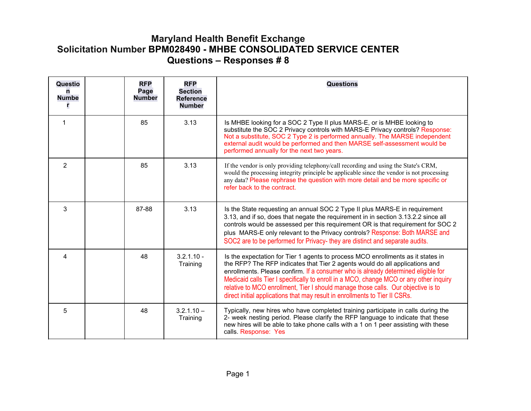## **Maryland Health Benefit Exchange Solicitation Number BPM028490 - MHBE CONSOLIDATED SERVICE CENTER Questions – Responses # 8**

| Questio<br>n<br><b>Numbe</b> | <b>RFP</b><br>Page<br><b>Number</b> | <b>RFP</b><br><b>Section</b><br><b>Reference</b><br><b>Number</b> | <b>Questions</b>                                                                                                                                                                                                                                                                                                                                                                                                                                                                                                  |
|------------------------------|-------------------------------------|-------------------------------------------------------------------|-------------------------------------------------------------------------------------------------------------------------------------------------------------------------------------------------------------------------------------------------------------------------------------------------------------------------------------------------------------------------------------------------------------------------------------------------------------------------------------------------------------------|
| $\mathbf 1$                  | 85                                  | 3.13                                                              | Is MHBE looking for a SOC 2 Type II plus MARS-E, or is MHBE looking to<br>substitute the SOC 2 Privacy controls with MARS-E Privacy controls? Response:<br>Not a substitute, SOC 2 Type 2 is performed annually. The MARSE independent<br>external audit would be performed and then MARSE self-assessment would be<br>performed annually for the next two years.                                                                                                                                                 |
| $\overline{2}$               | 85                                  | 3.13                                                              | If the vendor is only providing telephony/call recording and using the State's CRM,<br>would the processing integrity principle be applicable since the vendor is not processing<br>any data? Please rephrase the question with more detail and be more specific or<br>refer back to the contract.                                                                                                                                                                                                                |
| 3                            | 87-88                               | 3.13                                                              | Is the State requesting an annual SOC 2 Type II plus MARS-E in requirement<br>3.13, and if so, does that negate the requirement in in section 3.13.2.2 since all<br>controls would be assessed per this requirement OR is that requirement for SOC 2<br>plus MARS-E only relevant to the Privacy controls? Response: Both MARSE and<br>SOC2 are to be performed for Privacy- they are distinct and separate audits.                                                                                               |
| 4                            | 48                                  | $3.2.1.10 -$<br>Training                                          | Is the expectation for Tier 1 agents to process MCO enrollments as it states in<br>the RFP? The RFP indicates that Tier 2 agents would do all applications and<br>enrollments. Please confirm. If a consumer who is already determined eligible for<br>Medicaid calls Tier I specifically to enroll in a MCO, change MCO or any other inquiry<br>relative to MCO enrollment, Tier I should manage those calls. Our objective is to<br>direct initial applications that may result in enrollments to Tier II CSRs. |
| 5                            | 48                                  | $3.2.1.10 -$<br>Training                                          | Typically, new hires who have completed training participate in calls during the<br>2- week nesting period. Please clarify the RFP language to indicate that these<br>new hires will be able to take phone calls with a 1 on 1 peer assisting with these<br>calls. Response: Yes                                                                                                                                                                                                                                  |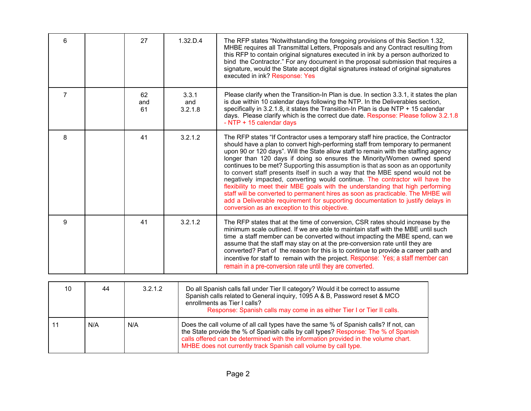| 6              | 27              | 1.32 D.4                | The RFP states "Notwithstanding the foregoing provisions of this Section 1.32,<br>MHBE requires all Transmittal Letters, Proposals and any Contract resulting from<br>this RFP to contain original signatures executed in ink by a person authorized to<br>bind the Contractor." For any document in the proposal submission that requires a<br>signature, would the State accept digital signatures instead of original signatures<br>executed in ink? Response: Yes                                                                                                                                                                                                                                                                                                                                                                                                                                     |
|----------------|-----------------|-------------------------|-----------------------------------------------------------------------------------------------------------------------------------------------------------------------------------------------------------------------------------------------------------------------------------------------------------------------------------------------------------------------------------------------------------------------------------------------------------------------------------------------------------------------------------------------------------------------------------------------------------------------------------------------------------------------------------------------------------------------------------------------------------------------------------------------------------------------------------------------------------------------------------------------------------|
| $\overline{7}$ | 62<br>and<br>61 | 3.3.1<br>and<br>3.2.1.8 | Please clarify when the Transition-In Plan is due. In section 3.3.1, it states the plan<br>is due within 10 calendar days following the NTP. In the Deliverables section,<br>specifically in 3.2.1.8, it states the Transition-In Plan is due NTP + 15 calendar<br>days. Please clarify which is the correct due date. Response: Please follow 3.2.1.8<br>- NTP + 15 calendar days                                                                                                                                                                                                                                                                                                                                                                                                                                                                                                                        |
| 8              | 41              | 3.2.1.2                 | The RFP states "If Contractor uses a temporary staff hire practice, the Contractor<br>should have a plan to convert high-performing staff from temporary to permanent<br>upon 90 or 120 days". Will the State allow staff to remain with the staffing agency<br>longer than 120 days if doing so ensures the Minority/Women owned spend<br>continues to be met? Supporting this assumption is that as soon as an opportunity<br>to convert staff presents itself in such a way that the MBE spend would not be<br>negatively impacted, converting would continue. The contractor will have the<br>flexibility to meet their MBE goals with the understanding that high performing<br>staff will be converted to permanent hires as soon as practicable. The MHBE will<br>add a Deliverable requirement for supporting documentation to justify delays in<br>conversion as an exception to this objective. |
| 9              | 41              | 3.2.1.2                 | The RFP states that at the time of conversion, CSR rates should increase by the<br>minimum scale outlined. If we are able to maintain staff with the MBE until such<br>time a staff member can be converted without impacting the MBE spend, can we<br>assume that the staff may stay on at the pre-conversion rate until they are<br>converted? Part of the reason for this is to continue to provide a career path and<br>incentive for staff to remain with the project. Response: Yes; a staff member can<br>remain in a pre-conversion rate until they are converted.                                                                                                                                                                                                                                                                                                                                |

| 10  | 44  | 3.2.1.2 | Do all Spanish calls fall under Tier II category? Would it be correct to assume<br>Spanish calls related to General inquiry, 1095 A & B, Password reset & MCO<br>enrollments as Tier I calls?<br>Response: Spanish calls may come in as either Tier I or Tier II calls.                                                             |
|-----|-----|---------|-------------------------------------------------------------------------------------------------------------------------------------------------------------------------------------------------------------------------------------------------------------------------------------------------------------------------------------|
| -11 | N/A | N/A     | Does the call volume of all call types have the same % of Spanish calls? If not, can<br>the State provide the % of Spanish calls by call types? Response: The % of Spanish<br>calls offered can be determined with the information provided in the volume chart.<br>MHBE does not currently track Spanish call volume by call type. |